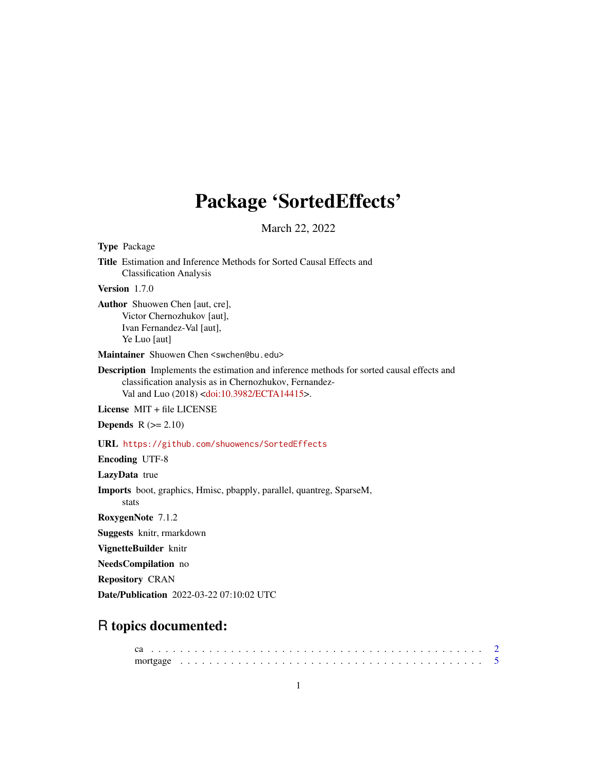## Package 'SortedEffects'

March 22, 2022

Title Estimation and Inference Methods for Sorted Causal Effects and Classification Analysis Version 1.7.0 Author Shuowen Chen [aut, cre], Victor Chernozhukov [aut], Ivan Fernandez-Val [aut], Ye Luo [aut] Maintainer Shuowen Chen <swchen@bu.edu> Description Implements the estimation and inference methods for sorted causal effects and classification analysis as in Chernozhukov, Fernandez-Val and Luo (2018) [<doi:10.3982/ECTA14415>](https://doi.org/10.3982/ECTA14415). License MIT + file LICENSE **Depends**  $R$  ( $>= 2.10$ ) URL <https://github.com/shuowencs/SortedEffects> Encoding UTF-8 LazyData true Imports boot, graphics, Hmisc, pbapply, parallel, quantreg, SparseM, stats RoxygenNote 7.1.2 Suggests knitr, rmarkdown VignetteBuilder knitr NeedsCompilation no Repository CRAN Date/Publication 2022-03-22 07:10:02 UTC

## R topics documented:

Type Package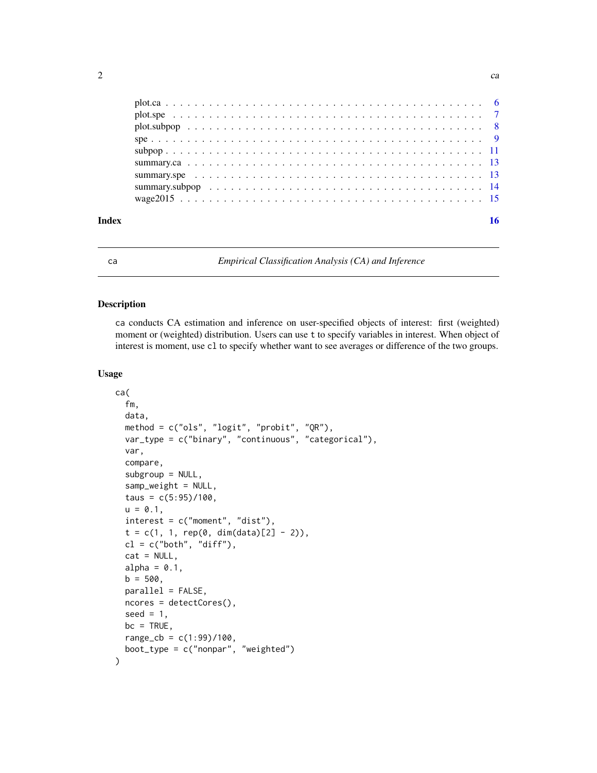<span id="page-1-0"></span>

<span id="page-1-1"></span>ca *Empirical Classification Analysis (CA) and Inference*

## Description

ca conducts CA estimation and inference on user-specified objects of interest: first (weighted) moment or (weighted) distribution. Users can use t to specify variables in interest. When object of interest is moment, use cl to specify whether want to see averages or difference of the two groups.

## Usage

```
ca(
  fm,
  data,
  method = c("ols", "logit", "probit", "QR"),
  var_type = c("binary", "continuous", "categorical"),
  var,
  compare,
  subgroup = NULL,
  samp_weight = NULL,
  taus = c(5:95)/100,
  u = 0.1,
  interest = c("moment", "dist"),
  t = c(1, 1, rep(0, dim(data)[2] - 2)),cl = c("both", "diff"),cat = NULL,alpha = 0.1,
  b = 500,parallel = FALSE,
  ncores = detectCores(),
  seed = 1,
 bc = TRUE,
  range_{cb} = c(1:99)/100,
  boot_type = c("nonpar", "weighted")
)
```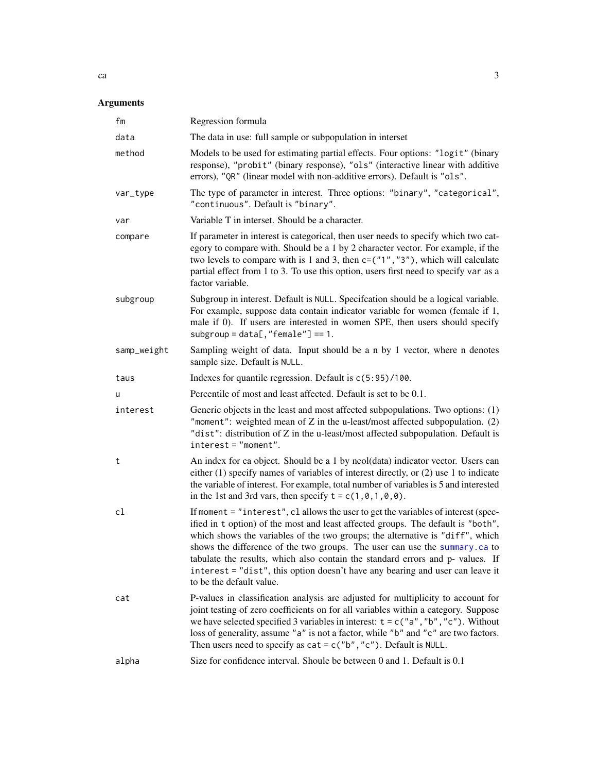## <span id="page-2-0"></span>Arguments

| fm          | Regression formula                                                                                                                                                                                                                                                                                                                                                                                                                                                                                                                   |
|-------------|--------------------------------------------------------------------------------------------------------------------------------------------------------------------------------------------------------------------------------------------------------------------------------------------------------------------------------------------------------------------------------------------------------------------------------------------------------------------------------------------------------------------------------------|
| data        | The data in use: full sample or subpopulation in interset                                                                                                                                                                                                                                                                                                                                                                                                                                                                            |
| method      | Models to be used for estimating partial effects. Four options: "logit" (binary<br>response), "probit" (binary response), "ols" (interactive linear with additive<br>errors), "QR" (linear model with non-additive errors). Default is "ols".                                                                                                                                                                                                                                                                                        |
| var_type    | The type of parameter in interest. Three options: "binary", "categorical",<br>"continuous". Default is "binary".                                                                                                                                                                                                                                                                                                                                                                                                                     |
| var         | Variable T in interset. Should be a character.                                                                                                                                                                                                                                                                                                                                                                                                                                                                                       |
| compare     | If parameter in interest is categorical, then user needs to specify which two cat-<br>egory to compare with. Should be a 1 by 2 character vector. For example, if the<br>two levels to compare with is 1 and 3, then $c = ("1", "3")$ , which will calculate<br>partial effect from 1 to 3. To use this option, users first need to specify var as a<br>factor variable.                                                                                                                                                             |
| subgroup    | Subgroup in interest. Default is NULL. Specifcation should be a logical variable.<br>For example, suppose data contain indicator variable for women (female if 1,<br>male if 0). If users are interested in women SPE, then users should specify<br>$subgroup = data[, "female"] == 1.$                                                                                                                                                                                                                                              |
| samp_weight | Sampling weight of data. Input should be a n by 1 vector, where n denotes<br>sample size. Default is NULL.                                                                                                                                                                                                                                                                                                                                                                                                                           |
| taus        | Indexes for quantile regression. Default is $c(5:95)/100$ .                                                                                                                                                                                                                                                                                                                                                                                                                                                                          |
| u           | Percentile of most and least affected. Default is set to be 0.1.                                                                                                                                                                                                                                                                                                                                                                                                                                                                     |
| interest    | Generic objects in the least and most affected subpopulations. Two options: (1)<br>"moment": weighted mean of $Z$ in the u-least/most affected subpopulation. $(2)$<br>"dist": distribution of Z in the u-least/most affected subpopulation. Default is<br>$interest="moment".$                                                                                                                                                                                                                                                      |
| t           | An index for ca object. Should be a 1 by ncol(data) indicator vector. Users can<br>either $(1)$ specify names of variables of interest directly, or $(2)$ use 1 to indicate<br>the variable of interest. For example, total number of variables is 5 and interested<br>in the 1st and 3rd vars, then specify $t = c(1, 0, 1, 0, 0)$ .                                                                                                                                                                                                |
| cl          | If moment = "interest", cl allows the user to get the variables of interest (spec-<br>ified in t option) of the most and least affected groups. The default is "both",<br>which shows the variables of the two groups; the alternative is "diff", which<br>shows the difference of the two groups. The user can use the summary.ca to<br>tabulate the results, which also contain the standard errors and p- values. If<br>interest = "dist", this option doesn't have any bearing and user can leave it<br>to be the default value. |
| cat         | P-values in classification analysis are adjusted for multiplicity to account for<br>joint testing of zero coefficients on for all variables within a category. Suppose<br>we have selected specified 3 variables in interest: $t = c("a", "b", "c").$ Without<br>loss of generality, assume "a" is not a factor, while "b" and "c" are two factors.<br>Then users need to specify as $cat = c("b", "c")$ . Default is NULL.                                                                                                          |
| alpha       | Size for confidence interval. Shoule be between 0 and 1. Default is 0.1                                                                                                                                                                                                                                                                                                                                                                                                                                                              |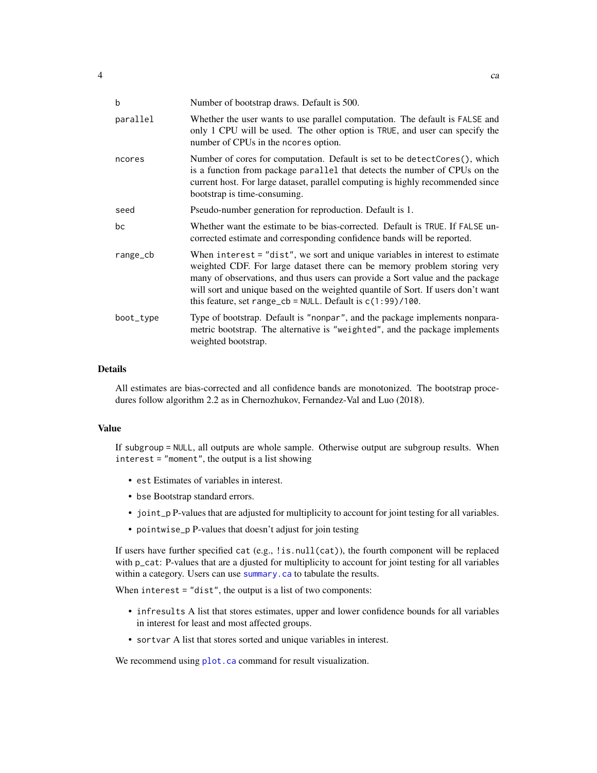<span id="page-3-0"></span>

| b         | Number of bootstrap draws. Default is 500.                                                                                                                                                                                                                                                                                                                                                       |
|-----------|--------------------------------------------------------------------------------------------------------------------------------------------------------------------------------------------------------------------------------------------------------------------------------------------------------------------------------------------------------------------------------------------------|
| parallel  | Whether the user wants to use parallel computation. The default is FALSE and<br>only 1 CPU will be used. The other option is TRUE, and user can specify the<br>number of CPUs in the ncores option.                                                                                                                                                                                              |
| ncores    | Number of cores for computation. Default is set to be detect Cores (), which<br>is a function from package parallel that detects the number of CPUs on the<br>current host. For large dataset, parallel computing is highly recommended since<br>bootstrap is time-consuming.                                                                                                                    |
| seed      | Pseudo-number generation for reproduction. Default is 1.                                                                                                                                                                                                                                                                                                                                         |
| bc        | Whether want the estimate to be bias-corrected. Default is TRUE. If FALSE un-<br>corrected estimate and corresponding confidence bands will be reported.                                                                                                                                                                                                                                         |
| range_cb  | When interest $=$ "dist", we sort and unique variables in interest to estimate<br>weighted CDF. For large dataset there can be memory problem storing very<br>many of observations, and thus users can provide a Sort value and the package<br>will sort and unique based on the weighted quantile of Sort. If users don't want<br>this feature, set range_cb = NULL. Default is $c(1:99)$ /100. |
| boot_type | Type of bootstrap. Default is "nonpar", and the package implements nonpara-<br>metric bootstrap. The alternative is "weighted", and the package implements<br>weighted bootstrap.                                                                                                                                                                                                                |

## Details

All estimates are bias-corrected and all confidence bands are monotonized. The bootstrap procedures follow algorithm 2.2 as in Chernozhukov, Fernandez-Val and Luo (2018).

#### Value

If subgroup = NULL, all outputs are whole sample. Otherwise output are subgroup results. When interest = "moment", the output is a list showing

- est Estimates of variables in interest.
- bse Bootstrap standard errors.
- joint\_p P-values that are adjusted for multiplicity to account for joint testing for all variables.
- pointwise\_p P-values that doesn't adjust for join testing

If users have further specified cat (e.g., !is.null(cat)), the fourth component will be replaced with p\_cat: P-values that are a djusted for multiplicity to account for joint testing for all variables within a category. Users can use [summary.ca](#page-12-1) to tabulate the results.

When interest = "dist", the output is a list of two components:

- infresults A list that stores estimates, upper and lower confidence bounds for all variables in interest for least and most affected groups.
- sortvar A list that stores sorted and unique variables in interest.

We recommend using [plot.ca](#page-5-1) command for result visualization.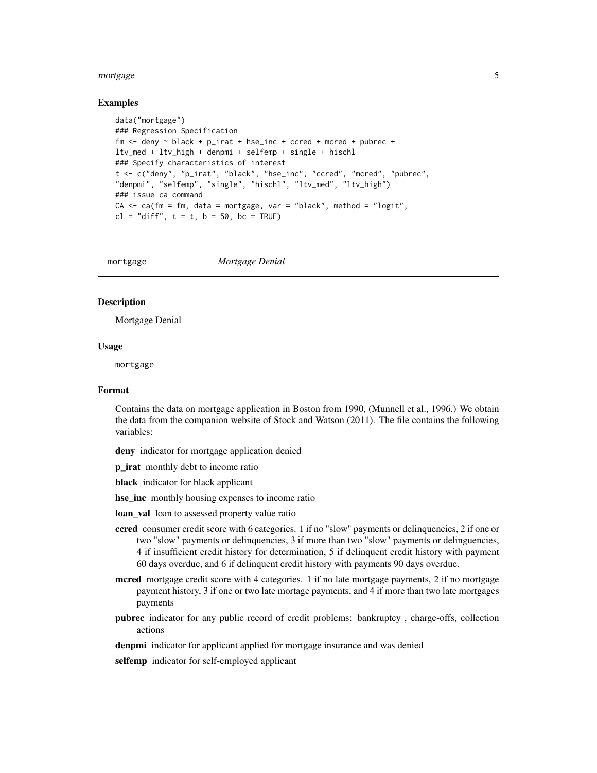## <span id="page-4-0"></span>mortgage 55 and 55 and 55 and 55 and 55 and 55 and 55 and 55 and 55 and 55 and 55 and 55 and 55 and 55 and 55 and 55 and 55 and 55 and 55 and 55 and 55 and 55 and 55 and 55 and 55 and 55 and 55 and 55 and 55 and 55 and 55

## Examples

```
data("mortgage")
### Regression Specification
fm \le deny \sim black + p_irat + hse_inc + ccred + mcred + pubrec +
ltv_med + ltv_high + denpmi + selfemp + single + hischl
### Specify characteristics of interest
t <- c("deny", "p_irat", "black", "hse_inc", "ccred", "mcred", "pubrec",
"denpmi", "selfemp", "single", "hischl", "ltv_med", "ltv_high")
### issue ca command
CA \leq ca(fm = fm, data = mortgage, var = "black", method = "logit",cl = "diff", t = t, b = 50, bc = TRUE)
```
mortgage *Mortgage Denial*

#### **Description**

Mortgage Denial

#### Usage

mortgage

## Format

Contains the data on mortgage application in Boston from 1990, (Munnell et al., 1996.) We obtain the data from the companion website of Stock and Watson (2011). The file contains the following variables:

deny indicator for mortgage application denied

**p\_irat** monthly debt to income ratio

black indicator for black applicant

hse\_inc monthly housing expenses to income ratio

- loan\_val loan to assessed property value ratio
- ccred consumer credit score with 6 categories. 1 if no "slow" payments or delinquencies, 2 if one or two "slow" payments or delinquencies, 3 if more than two "slow" payments or delinguencies, 4 if insufficient credit history for determination, 5 if delinquent credit history with payment 60 days overdue, and 6 if delinquent credit history with payments 90 days overdue.
- mcred mortgage credit score with 4 categories. 1 if no late mortgage payments, 2 if no mortgage payment history, 3 if one or two late mortage payments, and 4 if more than two late mortgages payments
- pubrec indicator for any public record of credit problems: bankruptcy , charge-offs, collection actions

denpmi indicator for applicant applied for mortgage insurance and was denied

selfemp indicator for self-employed applicant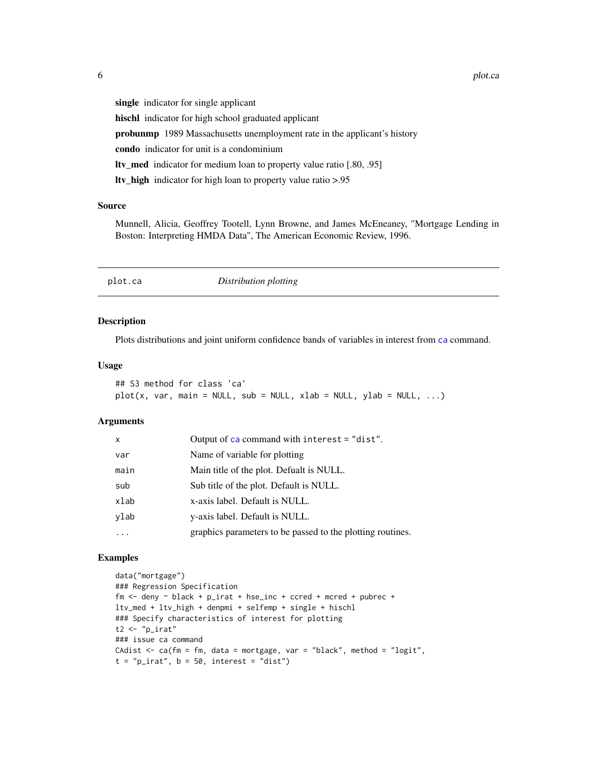<span id="page-5-0"></span>single indicator for single applicant

hischl indicator for high school graduated applicant

probunmp 1989 Massachusetts unemployment rate in the applicant's history

condo indicator for unit is a condominium

ltv\_med indicator for medium loan to property value ratio [.80, .95]

ltv\_high indicator for high loan to property value ratio >.95

## Source

Munnell, Alicia, Geoffrey Tootell, Lynn Browne, and James McEneaney, "Mortgage Lending in Boston: Interpreting HMDA Data", The American Economic Review, 1996.

<span id="page-5-1"></span>plot.ca *Distribution plotting*

## Description

Plots distributions and joint uniform confidence bands of variables in interest from [ca](#page-1-1) command.

## Usage

## S3 method for class 'ca'  $plot(x, var, main = NULL, sub = NULL, xlab = NULL, ylab = NULL, ...)$ 

## Arguments

| $\mathsf{x}$ | Output of ca command with interest = "dist".               |
|--------------|------------------------------------------------------------|
| var          | Name of variable for plotting                              |
| main         | Main title of the plot. Defualt is NULL.                   |
| sub          | Sub title of the plot. Default is NULL.                    |
| xlab         | x-axis label. Default is NULL.                             |
| ylab         | y-axis label. Default is NULL.                             |
|              | graphics parameters to be passed to the plotting routines. |

```
data("mortgage")
### Regression Specification
fm \le deny \sim black + p_irat + hse_inc + ccred + mcred + pubrec +
ltv_med + ltv_high + denpmi + selfemp + single + hischl
### Specify characteristics of interest for plotting
t2 \leftarrow "p_irat"
### issue ca command
CAdist \leq ca(fm = fm, data = mortgage, var = "black", method = "logit",
t = "p\_irat", b = 50, interest = "dist")
```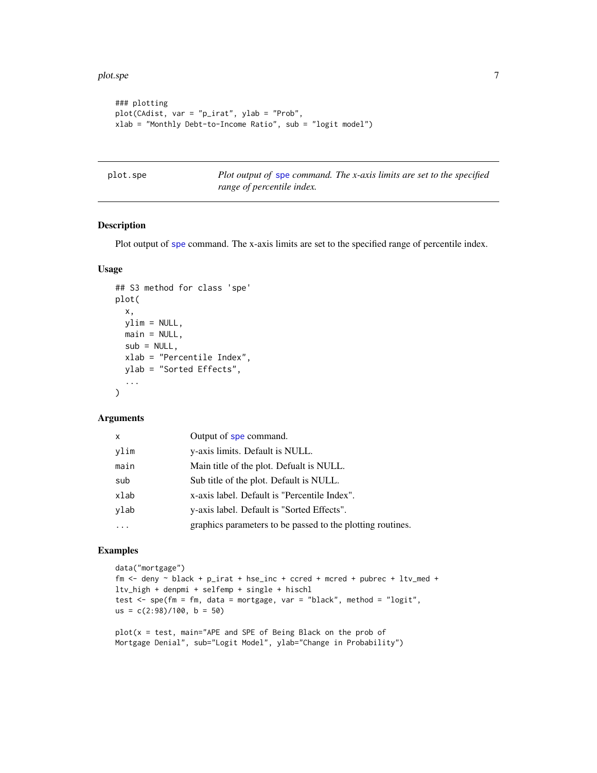```
### plotting
plot(CAdist, var = "p_irat", ylab = "Prob",
xlab = "Monthly Debt-to-Income Ratio", sub = "logit model")
```
<span id="page-6-1"></span>plot.spe *Plot output of* [spe](#page-8-1) *command. The x-axis limits are set to the specified range of percentile index.*

## Description

Plot output of [spe](#page-8-1) command. The x-axis limits are set to the specified range of percentile index.

## Usage

```
## S3 method for class 'spe'
plot(
  x,
 ylim = NULL,
 main = NULL,
  sub = NULL,xlab = "Percentile Index",
 ylab = "Sorted Effects",
  ...
)
```
## Arguments

| $\boldsymbol{\mathsf{x}}$ | Output of spe command.                                     |
|---------------------------|------------------------------------------------------------|
| ylim                      | y-axis limits. Default is NULL.                            |
| main                      | Main title of the plot. Defualt is NULL.                   |
| sub                       | Sub title of the plot. Default is NULL.                    |
| xlab                      | x-axis label. Default is "Percentile Index".               |
| ylab                      | y-axis label. Default is "Sorted Effects".                 |
|                           | graphics parameters to be passed to the plotting routines. |

```
data("mortgage")
fm <- deny ~ black + p_irat + hse_inc + ccred + mcred + pubrec + ltv_med +
ltv_high + denpmi + selfemp + single + hischl
test <- spe(fm = fm, data = mortgage, var = "black", method = "logit",
us = c(2:98)/100, b = 50)
plot(x = test, main="APE and SPE of Being Black on the prob of
Mortgage Denial", sub="Logit Model", ylab="Change in Probability")
```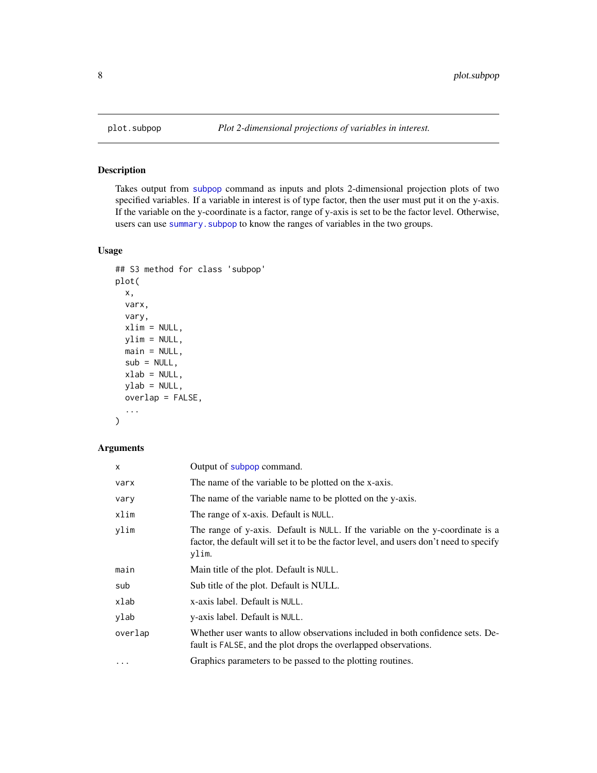<span id="page-7-1"></span><span id="page-7-0"></span>

## Description

Takes output from [subpop](#page-10-1) command as inputs and plots 2-dimensional projection plots of two specified variables. If a variable in interest is of type factor, then the user must put it on the y-axis. If the variable on the y-coordinate is a factor, range of y-axis is set to be the factor level. Otherwise, users can use summary. subpop to know the ranges of variables in the two groups.

## Usage

```
## S3 method for class 'subpop'
plot(
  x,
  varx,
  vary,
 xlim = NULL,
 ylim = NULL,
 main = NULL,
  sub = NULL,xlab = NULL,ylab = NULL,
  overlap = FALSE,
  ...
\mathcal{L}
```
## Arguments

| X       | Output of subpop command.                                                                                                                                                          |
|---------|------------------------------------------------------------------------------------------------------------------------------------------------------------------------------------|
| varx    | The name of the variable to be plotted on the x-axis.                                                                                                                              |
| vary    | The name of the variable name to be plotted on the y-axis.                                                                                                                         |
| xlim    | The range of x-axis. Default is NULL.                                                                                                                                              |
| ylim    | The range of y-axis. Default is NULL. If the variable on the y-coordinate is a<br>factor, the default will set it to be the factor level, and users don't need to specify<br>ylim. |
| main    | Main title of the plot. Default is NULL.                                                                                                                                           |
| sub     | Sub title of the plot. Default is NULL.                                                                                                                                            |
| xlab    | x-axis label. Default is NULL.                                                                                                                                                     |
| ylab    | y-axis label. Default is NULL.                                                                                                                                                     |
| overlap | Whether user wants to allow observations included in both confidence sets. De-<br>fault is FALSE, and the plot drops the overlapped observations.                                  |
| $\cdot$ | Graphics parameters to be passed to the plotting routines.                                                                                                                         |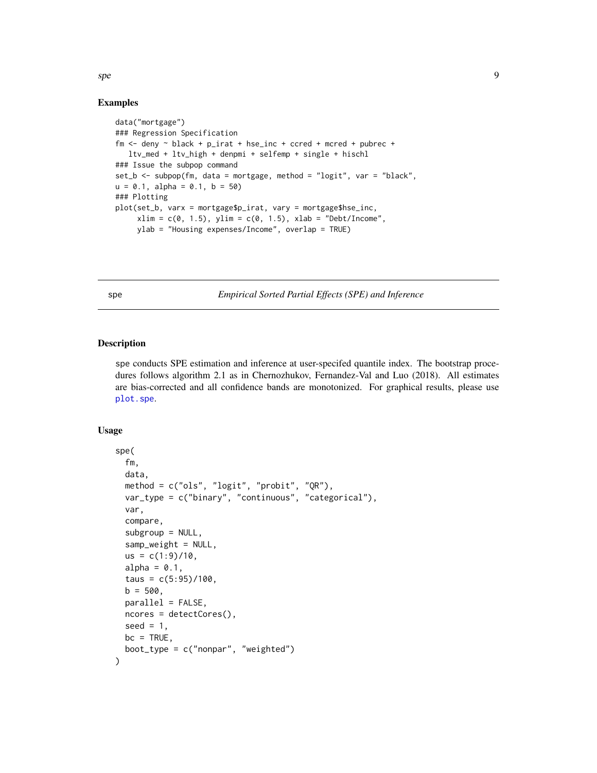## Examples

```
data("mortgage")
### Regression Specification
fm \le deny \sim black + p_irat + hse_inc + ccred + mcred + pubrec +
  ltv_med + ltv_high + denpmi + selfemp + single + hischl
### Issue the subpop command
set_b <- subpop(fm, data = mortgage, method = "logit", var = "black",
u = 0.1, alpha = 0.1, b = 50)
### Plotting
plot(set_b, varx = mortgage$p_irat, vary = mortgage$hse_inc,
     xlim = c(0, 1.5), ylim = c(0, 1.5), xlab = "Debt/Income",ylab = "Housing expenses/Income", overlap = TRUE)
```
<span id="page-8-1"></span>spe *Empirical Sorted Partial Effects (SPE) and Inference*

## Description

spe conducts SPE estimation and inference at user-specifed quantile index. The bootstrap procedures follows algorithm 2.1 as in Chernozhukov, Fernandez-Val and Luo (2018). All estimates are bias-corrected and all confidence bands are monotonized. For graphical results, please use [plot.spe](#page-6-1).

## Usage

```
spe(
  fm,
  data,
 method = c("ols", "logit", "probit", "QR"),
  var_type = c("binary", "continuous", "categorical"),
  var,
  compare,
  subgroup = NULL,samp_weight = NULL,
  us = c(1:9)/10,
  alpha = 0.1,
  taus = c(5:95)/100,
 b = 500,
 parallel = FALSE,
 ncores = detectCores(),
  seed = 1,
 bc = TRUE,boot_type = c("nonpar", "weighted")
)
```
<span id="page-8-0"></span>spectrum of the state of the state of the state of the state of the state of the state of the state of the state of the state of the state of the state of the state of the state of the state of the state of the state of th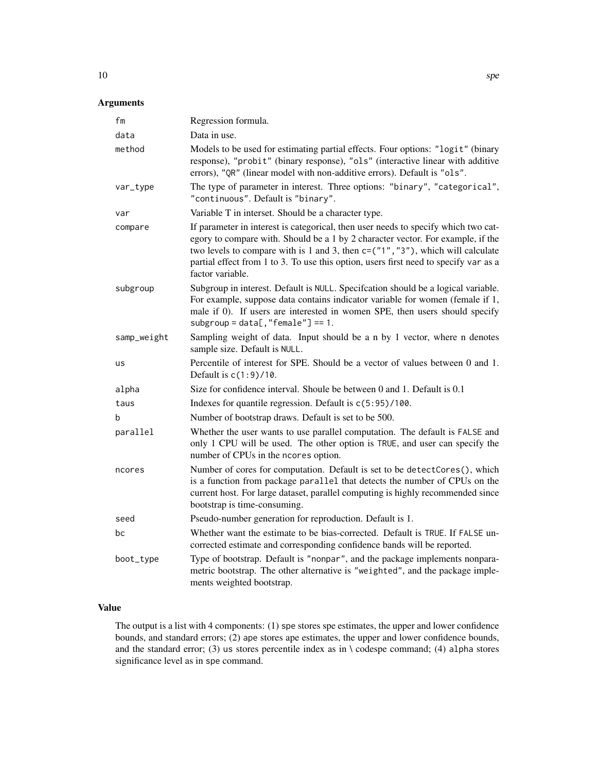## Arguments

| fm          | Regression formula.                                                                                                                                                                                                                                                                                                                                                      |
|-------------|--------------------------------------------------------------------------------------------------------------------------------------------------------------------------------------------------------------------------------------------------------------------------------------------------------------------------------------------------------------------------|
| data        | Data in use.                                                                                                                                                                                                                                                                                                                                                             |
| method      | Models to be used for estimating partial effects. Four options: "logit" (binary<br>response), "probit" (binary response), "ols" (interactive linear with additive<br>errors), "QR" (linear model with non-additive errors). Default is "ols".                                                                                                                            |
| var_type    | The type of parameter in interest. Three options: "binary", "categorical",<br>"continuous". Default is "binary".                                                                                                                                                                                                                                                         |
| var         | Variable T in interset. Should be a character type.                                                                                                                                                                                                                                                                                                                      |
| compare     | If parameter in interest is categorical, then user needs to specify which two cat-<br>egory to compare with. Should be a 1 by 2 character vector. For example, if the<br>two levels to compare with is 1 and 3, then $c = ("1", "3")$ , which will calculate<br>partial effect from 1 to 3. To use this option, users first need to specify var as a<br>factor variable. |
| subgroup    | Subgroup in interest. Default is NULL. Specifcation should be a logical variable.<br>For example, suppose data contains indicator variable for women (female if 1,<br>male if 0). If users are interested in women SPE, then users should specify<br>$subgroup = data[, "female"] == 1.$                                                                                 |
| samp_weight | Sampling weight of data. Input should be a n by 1 vector, where n denotes<br>sample size. Default is NULL.                                                                                                                                                                                                                                                               |
| us          | Percentile of interest for SPE. Should be a vector of values between 0 and 1.<br>Default is $c(1:9)/10$ .                                                                                                                                                                                                                                                                |
| alpha       | Size for confidence interval. Shoule be between 0 and 1. Default is 0.1                                                                                                                                                                                                                                                                                                  |
| taus        | Indexes for quantile regression. Default is $c(5:95)/100$ .                                                                                                                                                                                                                                                                                                              |
| b           | Number of bootstrap draws. Default is set to be 500.                                                                                                                                                                                                                                                                                                                     |
| parallel    | Whether the user wants to use parallel computation. The default is FALSE and<br>only 1 CPU will be used. The other option is TRUE, and user can specify the<br>number of CPUs in the ncores option.                                                                                                                                                                      |
| ncores      | Number of cores for computation. Default is set to be detectCores(), which<br>is a function from package parallel that detects the number of CPUs on the<br>current host. For large dataset, parallel computing is highly recommended since<br>bootstrap is time-consuming.                                                                                              |
| seed        | Pseudo-number generation for reproduction. Default is 1.                                                                                                                                                                                                                                                                                                                 |
| bc          | Whether want the estimate to be bias-corrected. Default is TRUE. If FALSE un-<br>corrected estimate and corresponding confidence bands will be reported.                                                                                                                                                                                                                 |
| boot_type   | Type of bootstrap. Default is "nonpar", and the package implements nonpara-<br>metric bootstrap. The other alternative is "weighted", and the package imple-<br>ments weighted bootstrap.                                                                                                                                                                                |

## Value

The output is a list with 4 components: (1) spe stores spe estimates, the upper and lower confidence bounds, and standard errors; (2) ape stores ape estimates, the upper and lower confidence bounds, and the standard error; (3) us stores percentile index as in  $\cdot$  codespe command; (4) alpha stores significance level as in spe command.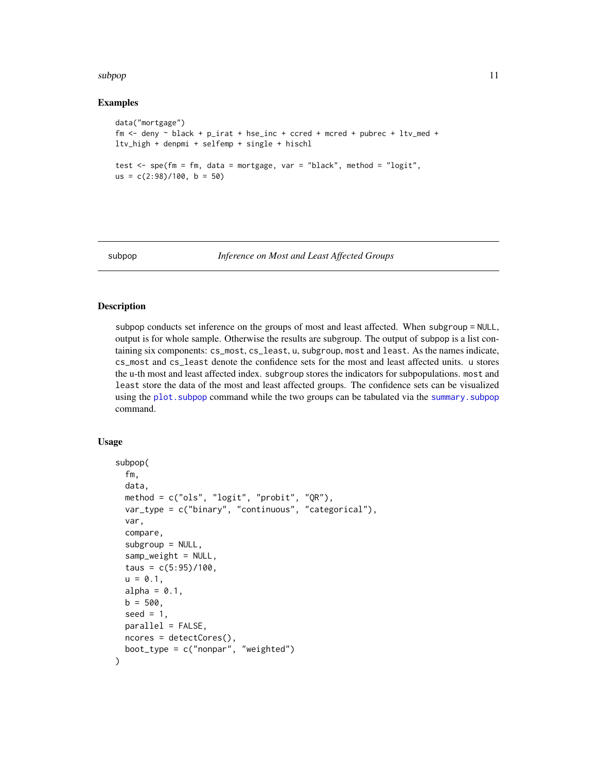## <span id="page-10-0"></span>subpop that the subset of the state of the state of the state of the state of the state of the state of the state of the state of the state of the state of the state of the state of the state of the state of the state of t

## Examples

```
data("mortgage")
fm \le - deny \sim black + p\_irat + hse\_inc + ccred + mcred + pubrec + ltv\_med +ltv_high + denpmi + selfemp + single + hischl
test <- spe(fm = fm, data = mortgage, var = "black", method = "logit",
us = c(2:98)/100, b = 50)
```
<span id="page-10-1"></span>subpop *Inference on Most and Least Affected Groups*

## Description

subpop conducts set inference on the groups of most and least affected. When subgroup = NULL, output is for whole sample. Otherwise the results are subgroup. The output of subpop is a list containing six components: cs\_most, cs\_least, u, subgroup, most and least. As the names indicate, cs\_most and cs\_least denote the confidence sets for the most and least affected units. u stores the u-th most and least affected index. subgroup stores the indicators for subpopulations. most and least store the data of the most and least affected groups. The confidence sets can be visualized using the [plot.subpop](#page-7-1) command while the two groups can be tabulated via the [summary.subpop](#page-13-1) command.

## Usage

```
subpop(
  fm,
  data,
 method = c("ols", "logit", "probit", "QR"),
  var_type = c("binary", "continuous", "categorical"),
  var,
  compare,
  subgroup = NULL,
  sample\_weight = NULL,taus = c(5:95)/100,
  u = 0.1,
  alpha = 0.1,
 b = 500.
  seed = 1,
 parallel = FALSE,
 ncores = detectCores(),
 boot_type = c("nonpar", "weighted")
)
```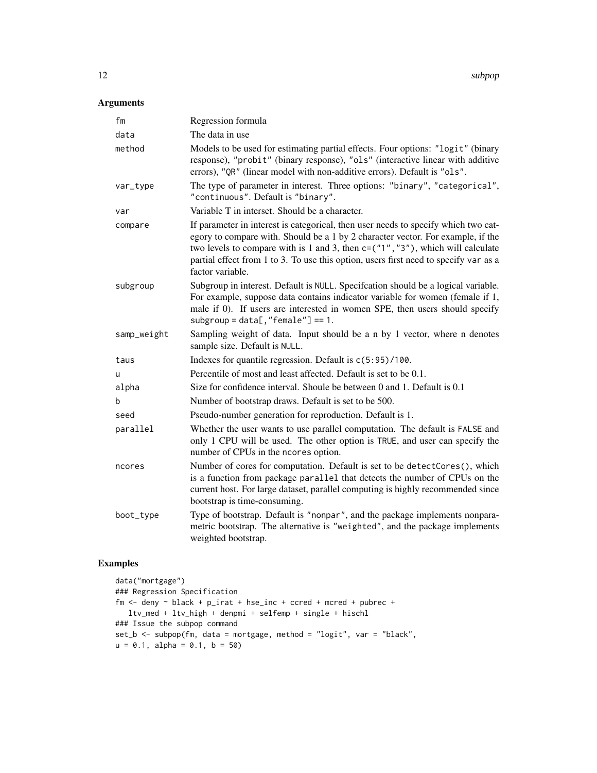12 subpop

## Arguments

| fm          | Regression formula                                                                                                                                                                                                                                                                                                                                                       |
|-------------|--------------------------------------------------------------------------------------------------------------------------------------------------------------------------------------------------------------------------------------------------------------------------------------------------------------------------------------------------------------------------|
| data        | The data in use                                                                                                                                                                                                                                                                                                                                                          |
| method      | Models to be used for estimating partial effects. Four options: "logit" (binary<br>response), "probit" (binary response), "ols" (interactive linear with additive<br>errors), "QR" (linear model with non-additive errors). Default is "ols".                                                                                                                            |
| var_type    | The type of parameter in interest. Three options: "binary", "categorical",<br>"continuous". Default is "binary".                                                                                                                                                                                                                                                         |
| var         | Variable T in interset. Should be a character.                                                                                                                                                                                                                                                                                                                           |
| compare     | If parameter in interest is categorical, then user needs to specify which two cat-<br>egory to compare with. Should be a 1 by 2 character vector. For example, if the<br>two levels to compare with is 1 and 3, then $c = ("1", "3")$ , which will calculate<br>partial effect from 1 to 3. To use this option, users first need to specify var as a<br>factor variable. |
| subgroup    | Subgroup in interest. Default is NULL. Specifcation should be a logical variable.<br>For example, suppose data contains indicator variable for women (female if 1,<br>male if 0). If users are interested in women SPE, then users should specify<br>$subgroup = data[, "female"] == 1.$                                                                                 |
| samp_weight | Sampling weight of data. Input should be a n by 1 vector, where n denotes<br>sample size. Default is NULL.                                                                                                                                                                                                                                                               |
| taus        | Indexes for quantile regression. Default is $c(5:95)/100$ .                                                                                                                                                                                                                                                                                                              |
| u           | Percentile of most and least affected. Default is set to be 0.1.                                                                                                                                                                                                                                                                                                         |
| alpha       | Size for confidence interval. Shoule be between 0 and 1. Default is 0.1                                                                                                                                                                                                                                                                                                  |
| b           | Number of bootstrap draws. Default is set to be 500.                                                                                                                                                                                                                                                                                                                     |
| seed        | Pseudo-number generation for reproduction. Default is 1.                                                                                                                                                                                                                                                                                                                 |
| parallel    | Whether the user wants to use parallel computation. The default is FALSE and<br>only 1 CPU will be used. The other option is TRUE, and user can specify the<br>number of CPUs in the ncores option.                                                                                                                                                                      |
| ncores      | Number of cores for computation. Default is set to be detectCores(), which<br>is a function from package parallel that detects the number of CPUs on the<br>current host. For large dataset, parallel computing is highly recommended since<br>bootstrap is time-consuming.                                                                                              |
| boot_type   | Type of bootstrap. Default is "nonpar", and the package implements nonpara-<br>metric bootstrap. The alternative is "weighted", and the package implements<br>weighted bootstrap.                                                                                                                                                                                        |

```
data("mortgage")
### Regression Specification
fm <- deny ~ black + p_irat + hse_inc + ccred + mcred + pubrec +
  ltv_med + ltv_high + denpmi + selfemp + single + hischl
### Issue the subpop command
set_b <- subpop(fm, data = mortgage, method = "logit", var = "black",
u = 0.1, alpha = 0.1, b = 50)
```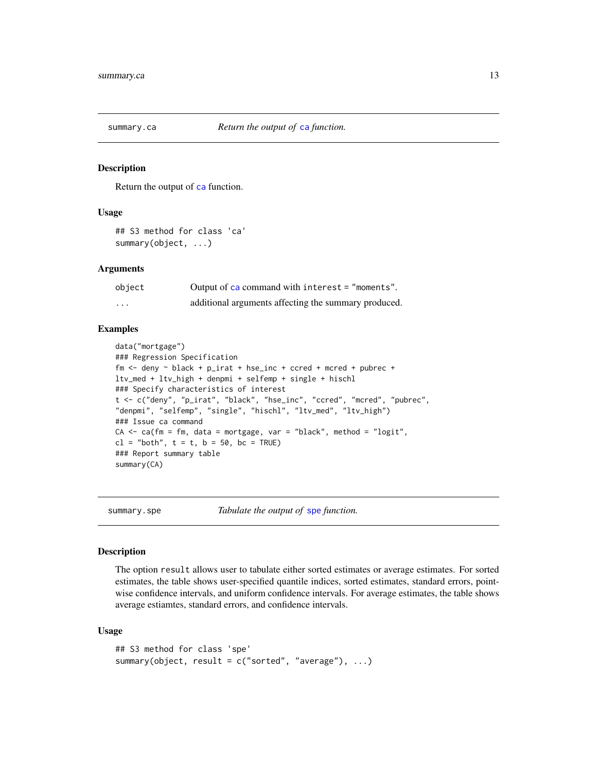<span id="page-12-1"></span><span id="page-12-0"></span>

## Description

Return the output of [ca](#page-1-1) function.

## Usage

```
## S3 method for class 'ca'
summary(object, ...)
```
## **Arguments**

| object            | Output of $ca$ command with interest = "moments".    |
|-------------------|------------------------------------------------------|
| $\cdot\cdot\cdot$ | additional arguments affecting the summary produced. |

## Examples

```
data("mortgage")
### Regression Specification
fm \le deny \sim black + p_irat + hse_inc + ccred + mcred + pubrec +
ltv_med + ltv_high + denpmi + selfemp + single + hischl
### Specify characteristics of interest
t <- c("deny", "p_irat", "black", "hse_inc", "ccred", "mcred", "pubrec",
"denpmi", "selfemp", "single", "hischl", "ltv_med", "ltv_high")
### Issue ca command
CA \leq ca(fm = fm, data = mortgage, var = "black", method = "logit",cl = "both", t = t, b = 50, bc = TRUE)### Report summary table
summary(CA)
```
summary.spe *Tabulate the output of* [spe](#page-8-1) *function.*

## Description

The option result allows user to tabulate either sorted estimates or average estimates. For sorted estimates, the table shows user-specified quantile indices, sorted estimates, standard errors, pointwise confidence intervals, and uniform confidence intervals. For average estimates, the table shows average estiamtes, standard errors, and confidence intervals.

#### Usage

```
## S3 method for class 'spe'
summary(object, result = c("sorted", "average"), ...)
```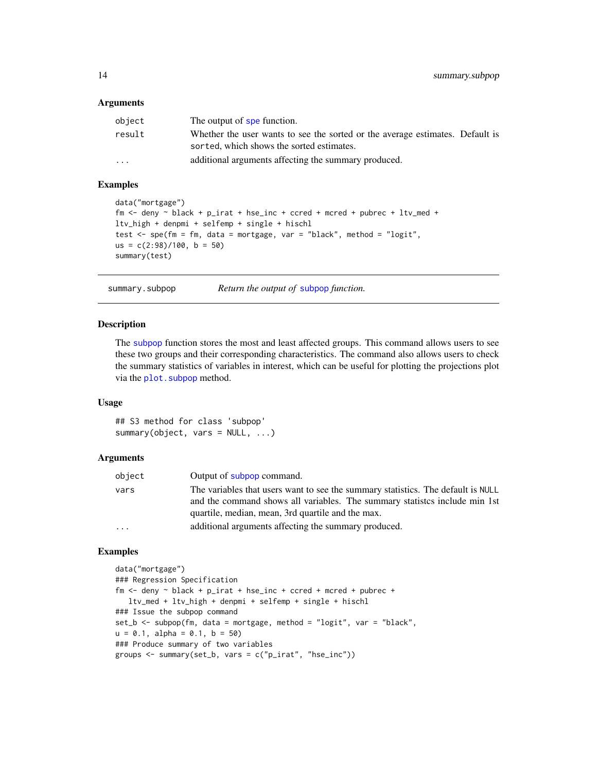## <span id="page-13-0"></span>**Arguments**

| object | The output of spe function.                                                                                                |
|--------|----------------------------------------------------------------------------------------------------------------------------|
| result | Whether the user wants to see the sorted or the average estimates. Default is<br>sorted, which shows the sorted estimates. |
| .      | additional arguments affecting the summary produced.                                                                       |

## Examples

```
data("mortgage")
fm <- deny ~ black + p_irat + hse_inc + ccred + mcred + pubrec + ltv_med +
ltv_high + denpmi + selfemp + single + hischl
test \leq spe(fm = fm, data = mortgage, var = "black", method = "logit",
us = c(2:98)/100, b = 50)
summary(test)
```
<span id="page-13-1"></span>

summary.subpop *Return the output of* [subpop](#page-10-1) *function.*

## Description

The [subpop](#page-10-1) function stores the most and least affected groups. This command allows users to see these two groups and their corresponding characteristics. The command also allows users to check the summary statistics of variables in interest, which can be useful for plotting the projections plot via the plot. subpop method.

## Usage

## S3 method for class 'subpop' summary(object, vars = NULL, ...)

### Arguments

| object                  | Output of subpop command.                                                                                                                                                                                            |
|-------------------------|----------------------------------------------------------------------------------------------------------------------------------------------------------------------------------------------------------------------|
| vars                    | The variables that users want to see the summary statistics. The default is NULL<br>and the command shows all variables. The summary statistics include min 1st<br>quartile, median, mean, 3rd quartile and the max. |
| $\cdot$ $\cdot$ $\cdot$ | additional arguments affecting the summary produced.                                                                                                                                                                 |

```
data("mortgage")
### Regression Specification
fm <- deny ~ black + p_irat + hse_inc + ccred + mcred + pubrec +
  ltv_med + ltv_high + denpmi + selfemp + single + hischl
### Issue the subpop command
set_b <- subpop(fm, data = mortgage, method = "logit", var = "black",
u = 0.1, alpha = 0.1, b = 50)
### Produce summary of two variables
groups <- summary(set_b, vars = c("p_irat", "hse_inc"))
```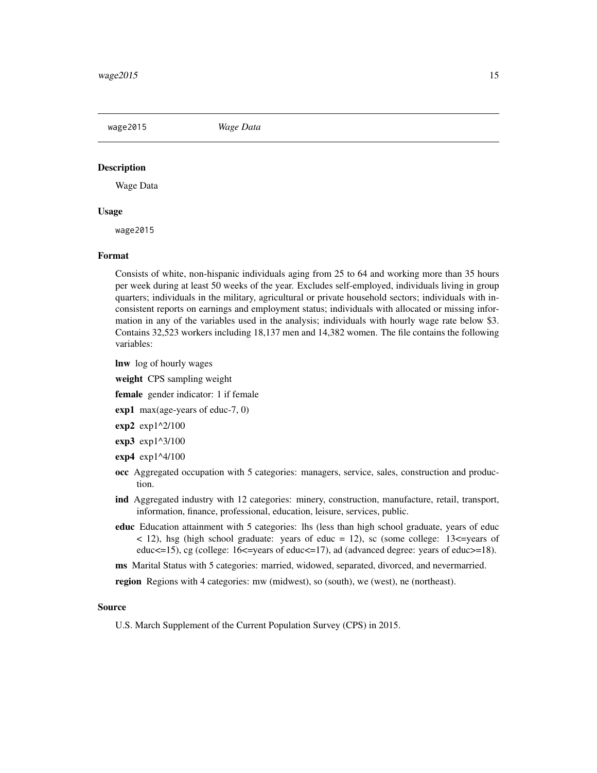<span id="page-14-0"></span>wage2015 *Wage Data*

## **Description**

Wage Data

## Usage

wage2015

## Format

Consists of white, non-hispanic individuals aging from 25 to 64 and working more than 35 hours per week during at least 50 weeks of the year. Excludes self-employed, individuals living in group quarters; individuals in the military, agricultural or private household sectors; individuals with inconsistent reports on earnings and employment status; individuals with allocated or missing information in any of the variables used in the analysis; individuals with hourly wage rate below \$3. Contains 32,523 workers including 18,137 men and 14,382 women. The file contains the following variables:

lnw log of hourly wages

weight CPS sampling weight

female gender indicator: 1 if female

- exp1 max(age-years of educ-7, 0)
- $exp2 exp1^2/100$
- exp3 exp1^3/100
- exp4 exp1^4/100
- occ Aggregated occupation with 5 categories: managers, service, sales, construction and production.
- ind Aggregated industry with 12 categories: minery, construction, manufacture, retail, transport, information, finance, professional, education, leisure, services, public.
- educ Education attainment with 5 categories: lhs (less than high school graduate, years of educ  $\langle 12 \rangle$ , hsg (high school graduate: years of educ = 12), sc (some college: 13 $\langle -12 \rangle$ ) educ $\le$ =15), cg (college: 16 $\le$ =years of educ $\le$ =17), ad (advanced degree: years of educ $\ge$ =18).
- ms Marital Status with 5 categories: married, widowed, separated, divorced, and nevermarried.

region Regions with 4 categories: mw (midwest), so (south), we (west), ne (northeast).

#### Source

U.S. March Supplement of the Current Population Survey (CPS) in 2015.